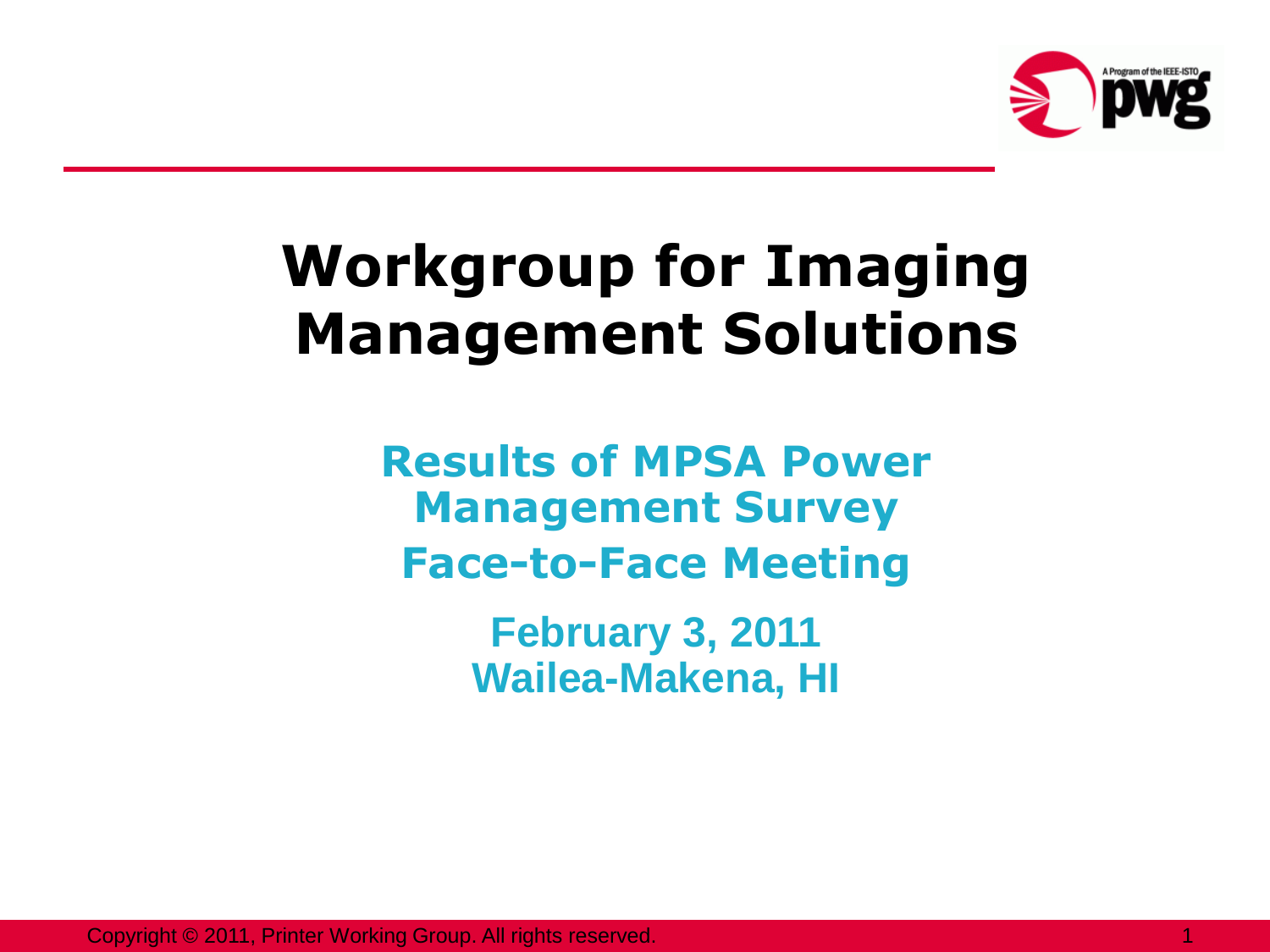

## **Workgroup for Imaging Management Solutions**

**Results of MPSA Power Management Survey Face-to-Face Meeting**

> **February 3, 2011 Wailea-Makena, HI**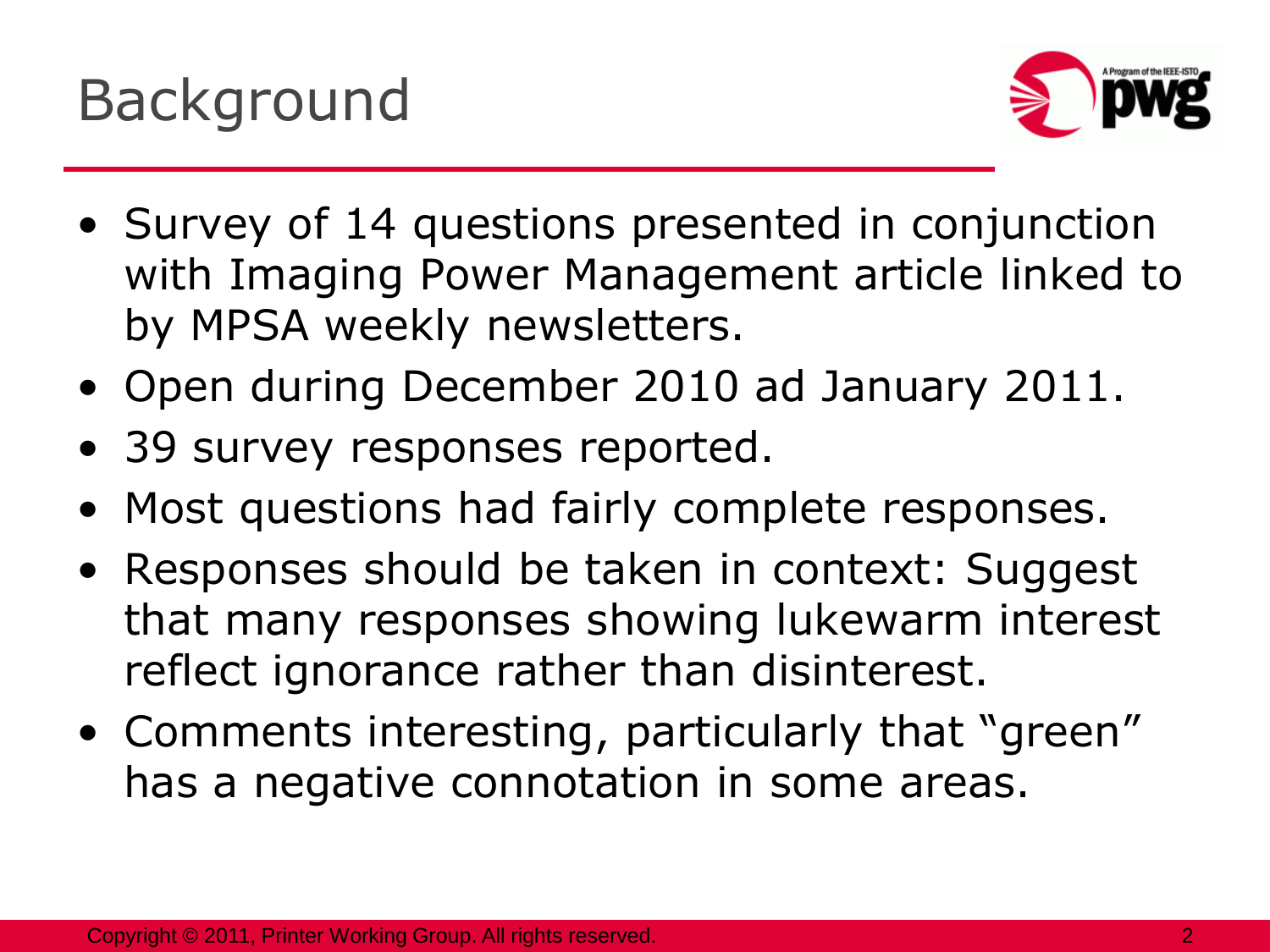

- Survey of 14 questions presented in conjunction with Imaging Power Management article linked to by MPSA weekly newsletters.
- Open during December 2010 ad January 2011.
- 39 survey responses reported.
- Most questions had fairly complete responses.
- Responses should be taken in context: Suggest that many responses showing lukewarm interest reflect ignorance rather than disinterest.
- Comments interesting, particularly that "green" has a negative connotation in some areas.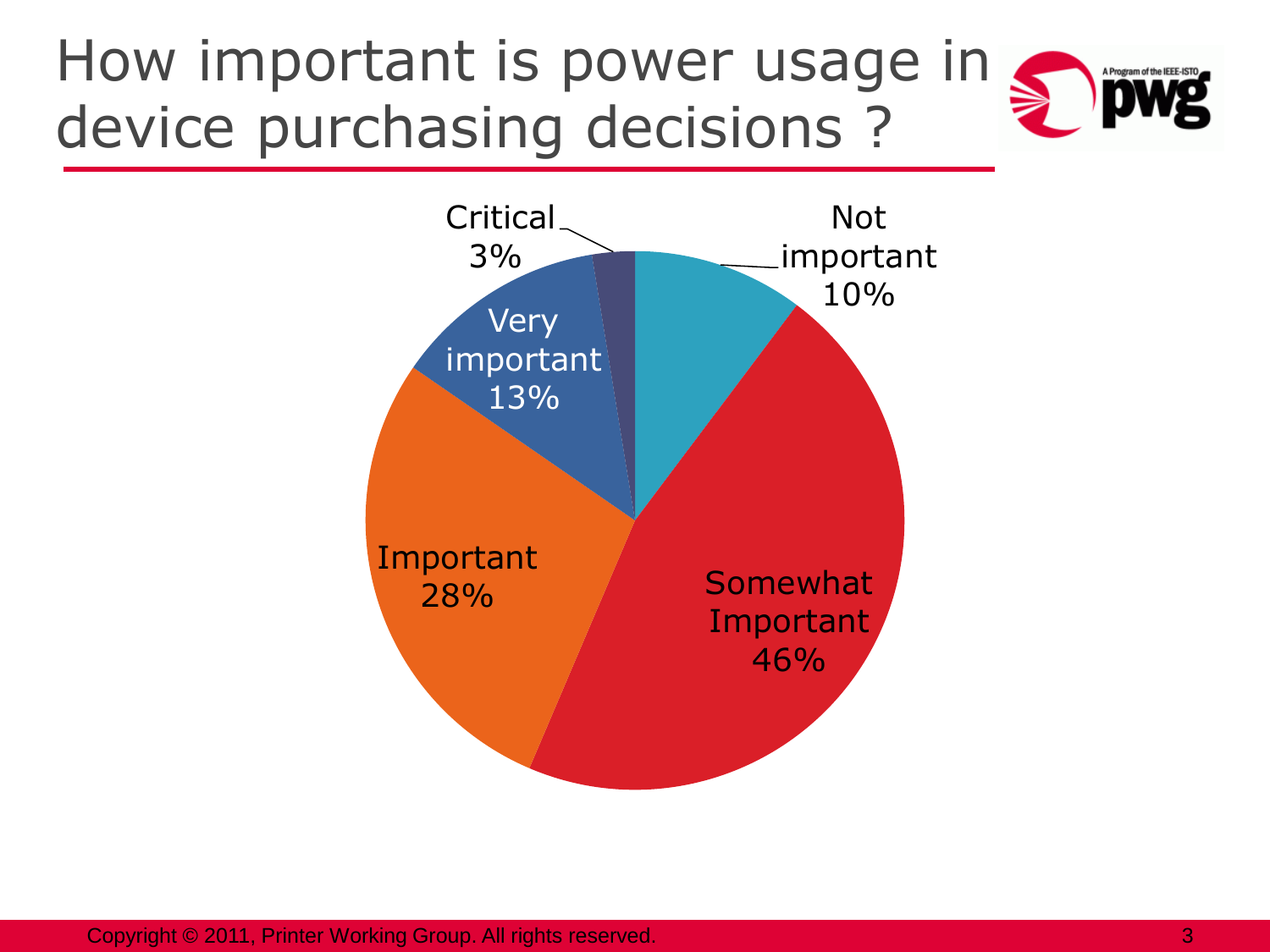### How important is power usage in device purchasing decisions ?

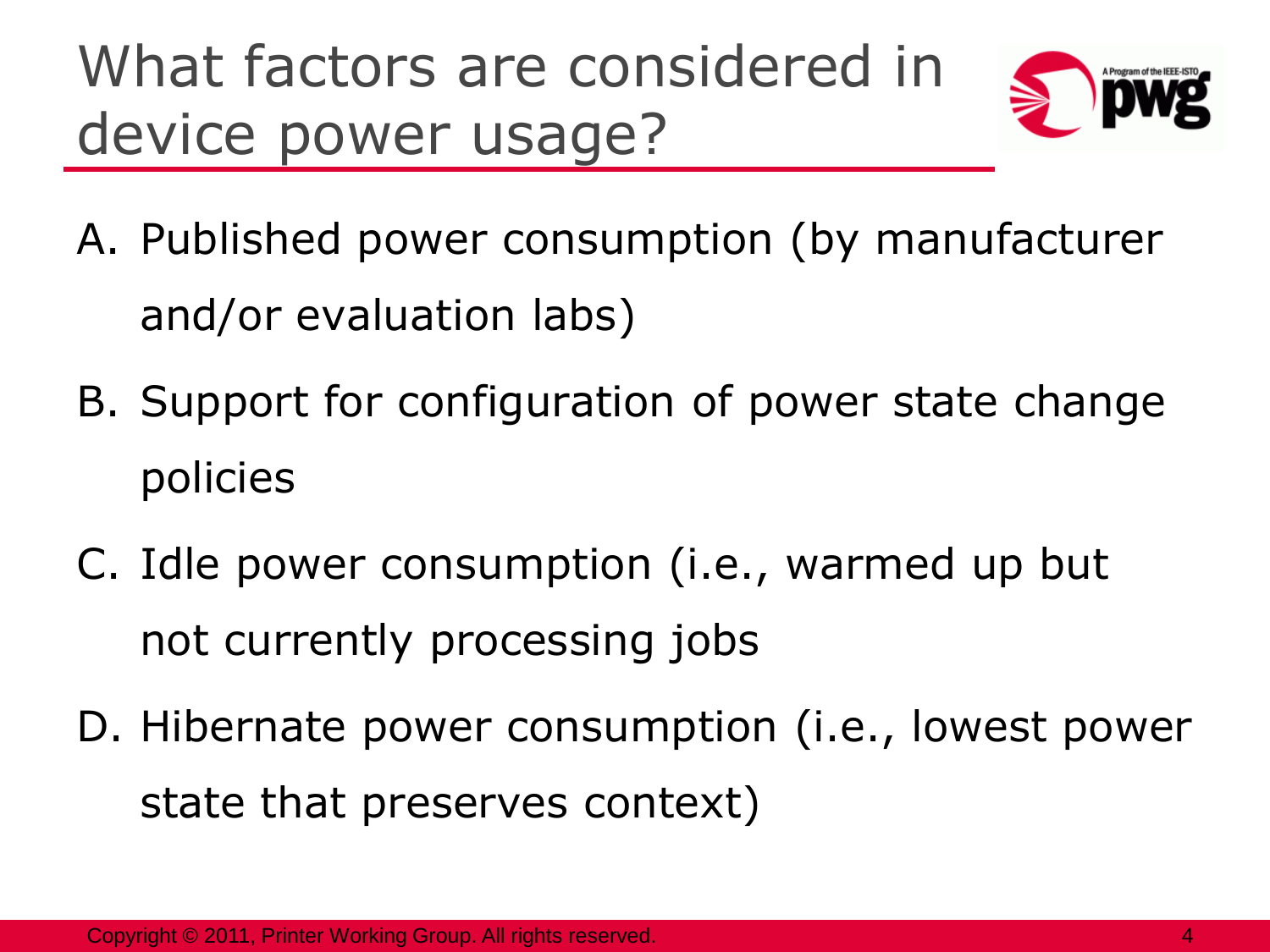# What factors are considered in device power usage?



- A. Published power consumption (by manufacturer and/or evaluation labs)
- B. Support for configuration of power state change policies
- C. Idle power consumption (i.e., warmed up but not currently processing jobs
- D. Hibernate power consumption (i.e., lowest power state that preserves context)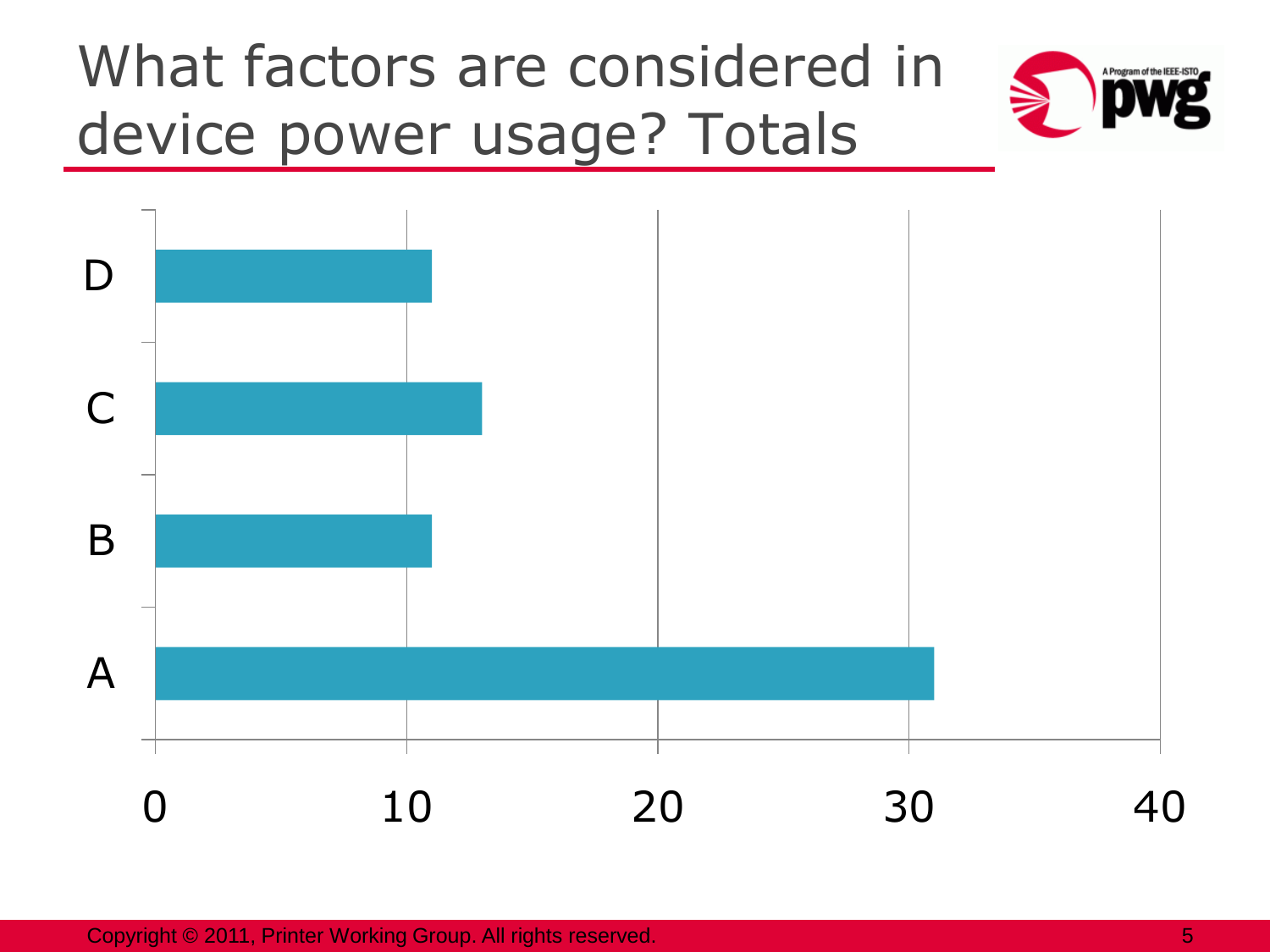# What factors are considered in device power usage? Totals



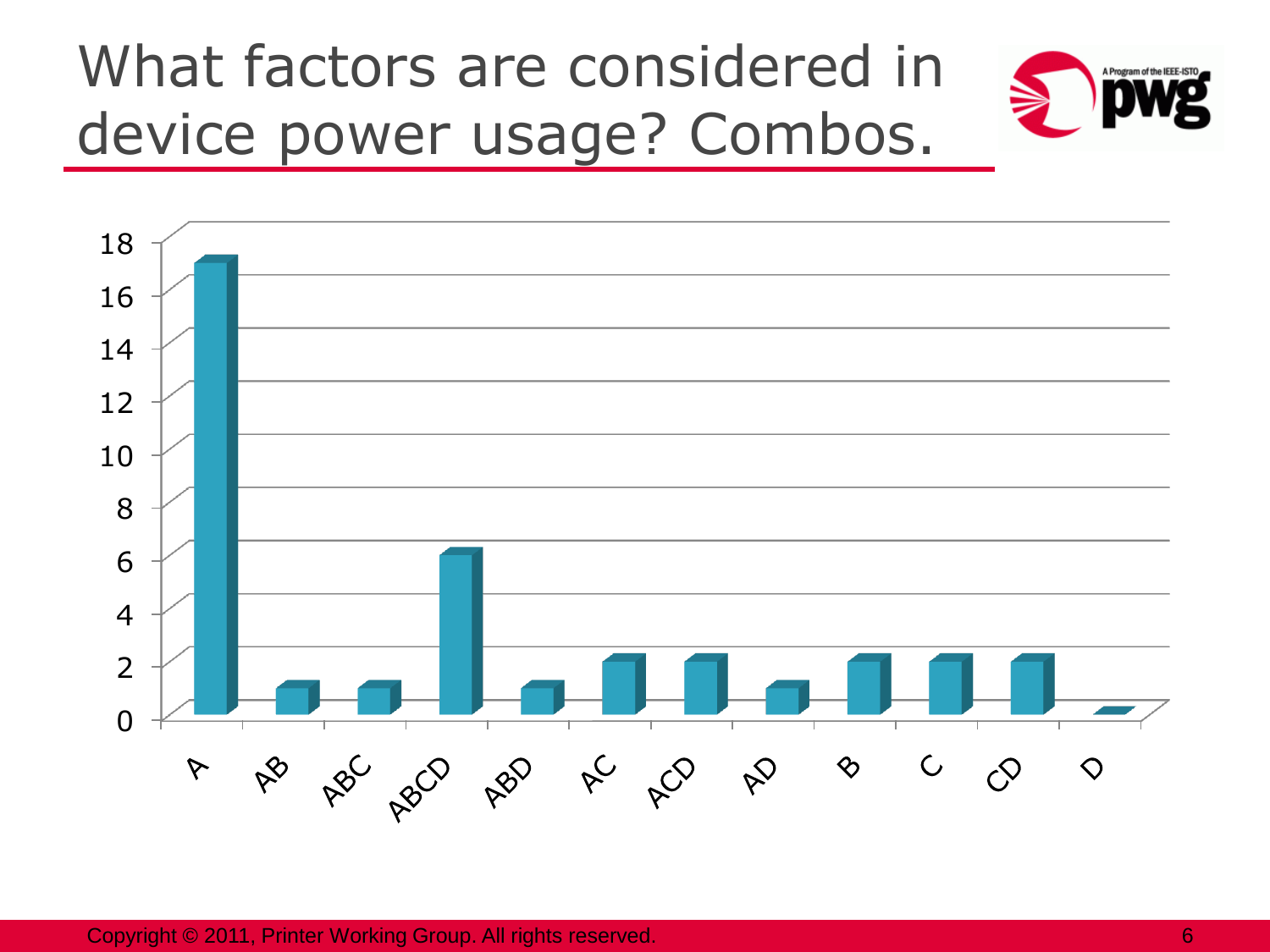# What factors are considered in device power usage? Combos.





Copyright © 2011, Printer Working Group. All rights reserved. 6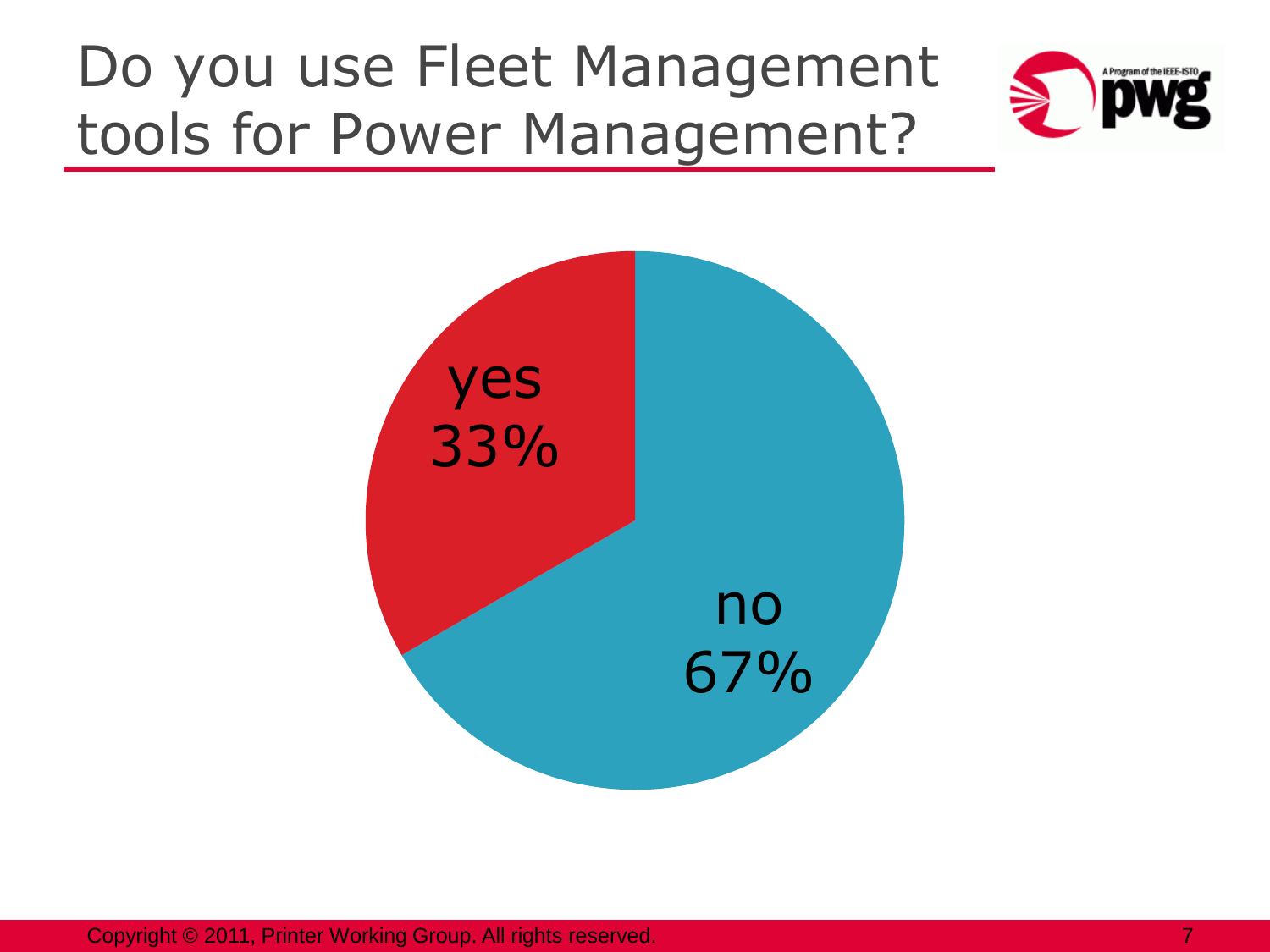### Do you use Fleet Management tools for Power Management?





Copyright © 2011, Printer Working Group. All rights reserved. **7** All rights reserved.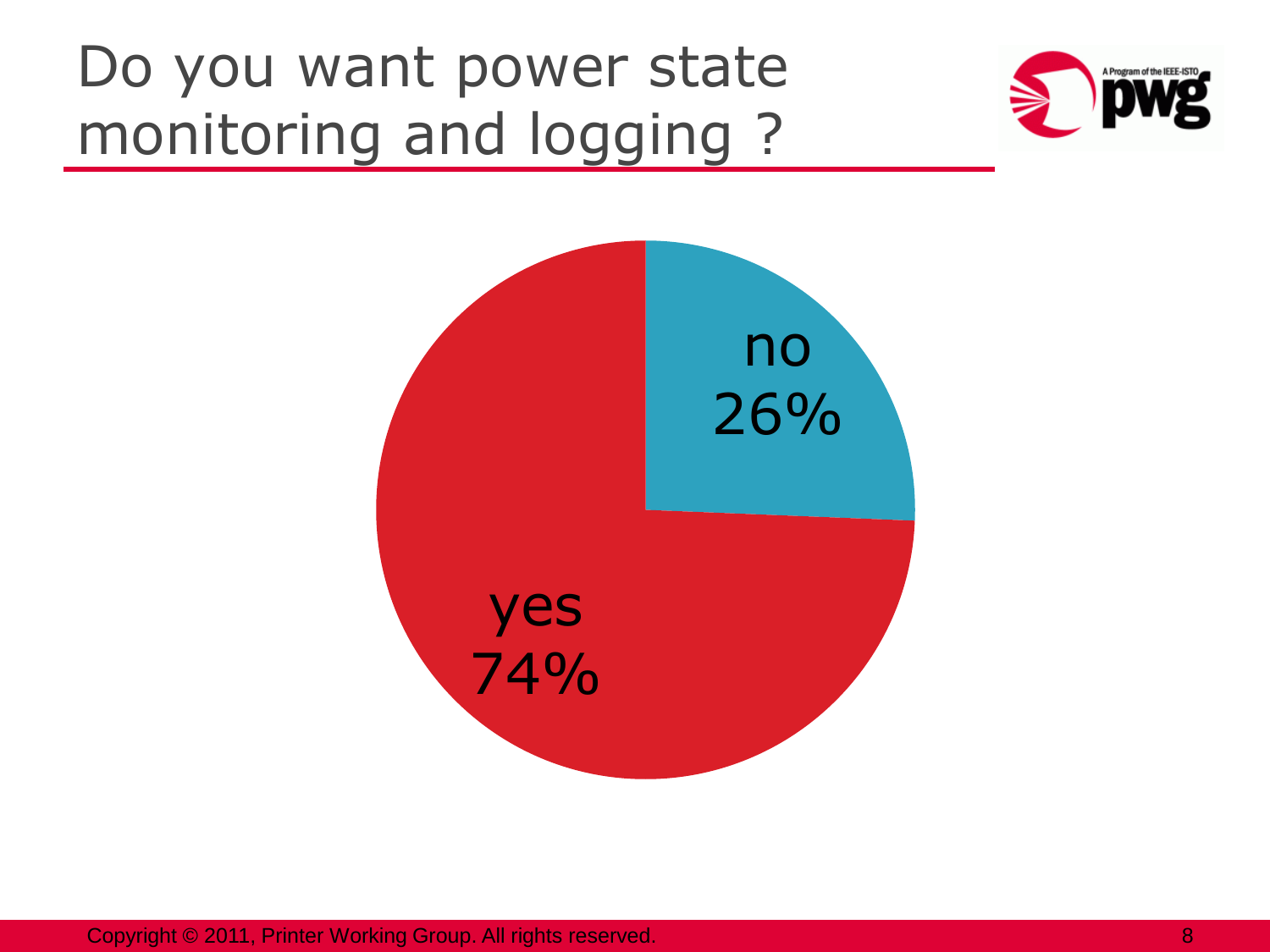### Do you want power state monitoring and logging ?





Copyright © 2011, Printer Working Group. All rights reserved. 8 All and the set of the set of the set of the set of the set of the set of the set of the set of the set of the set of the set of the set of the set of the set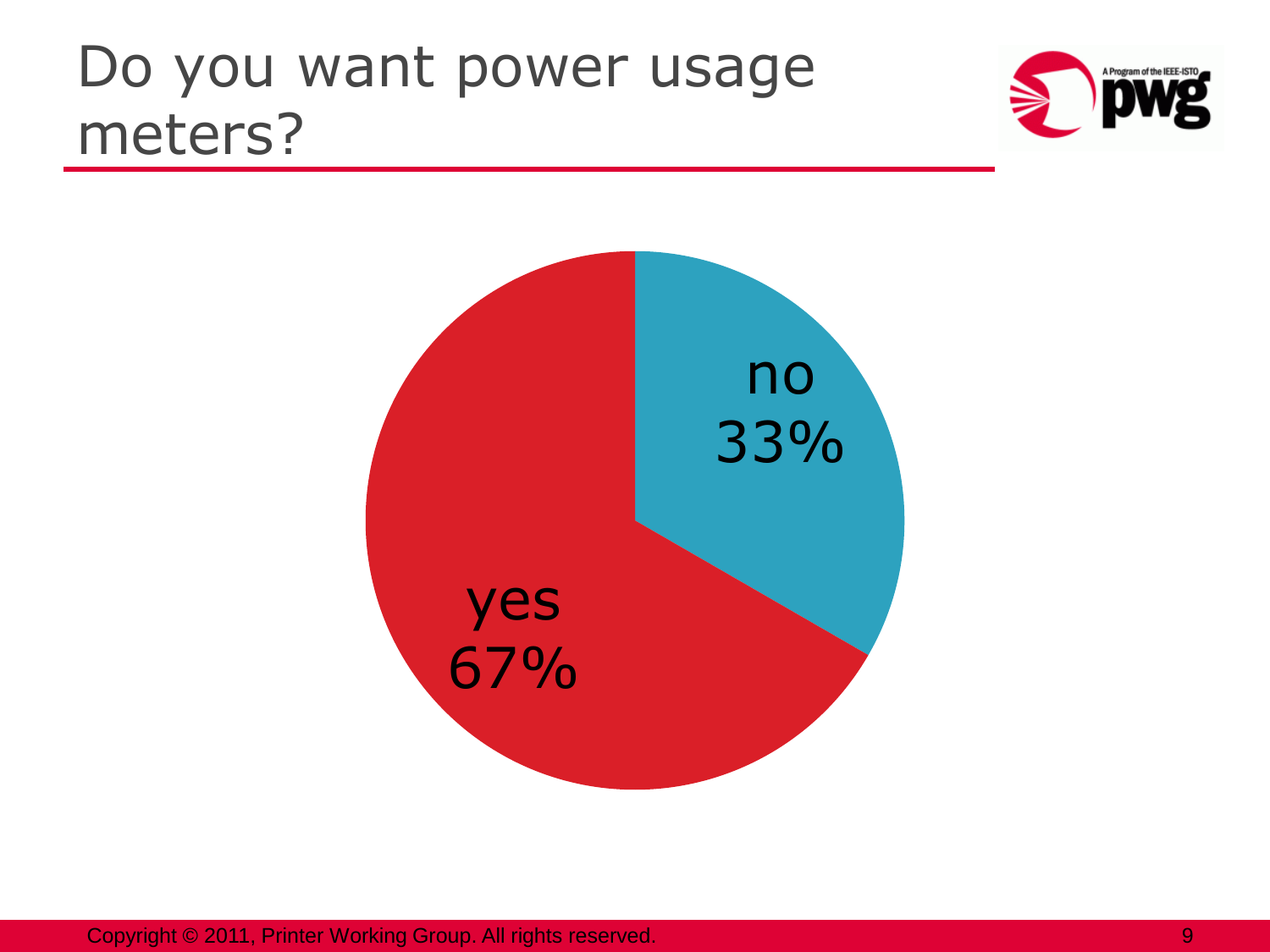#### Do you want power usage meters?





Copyright © 2011, Printer Working Group. All rights reserved. 9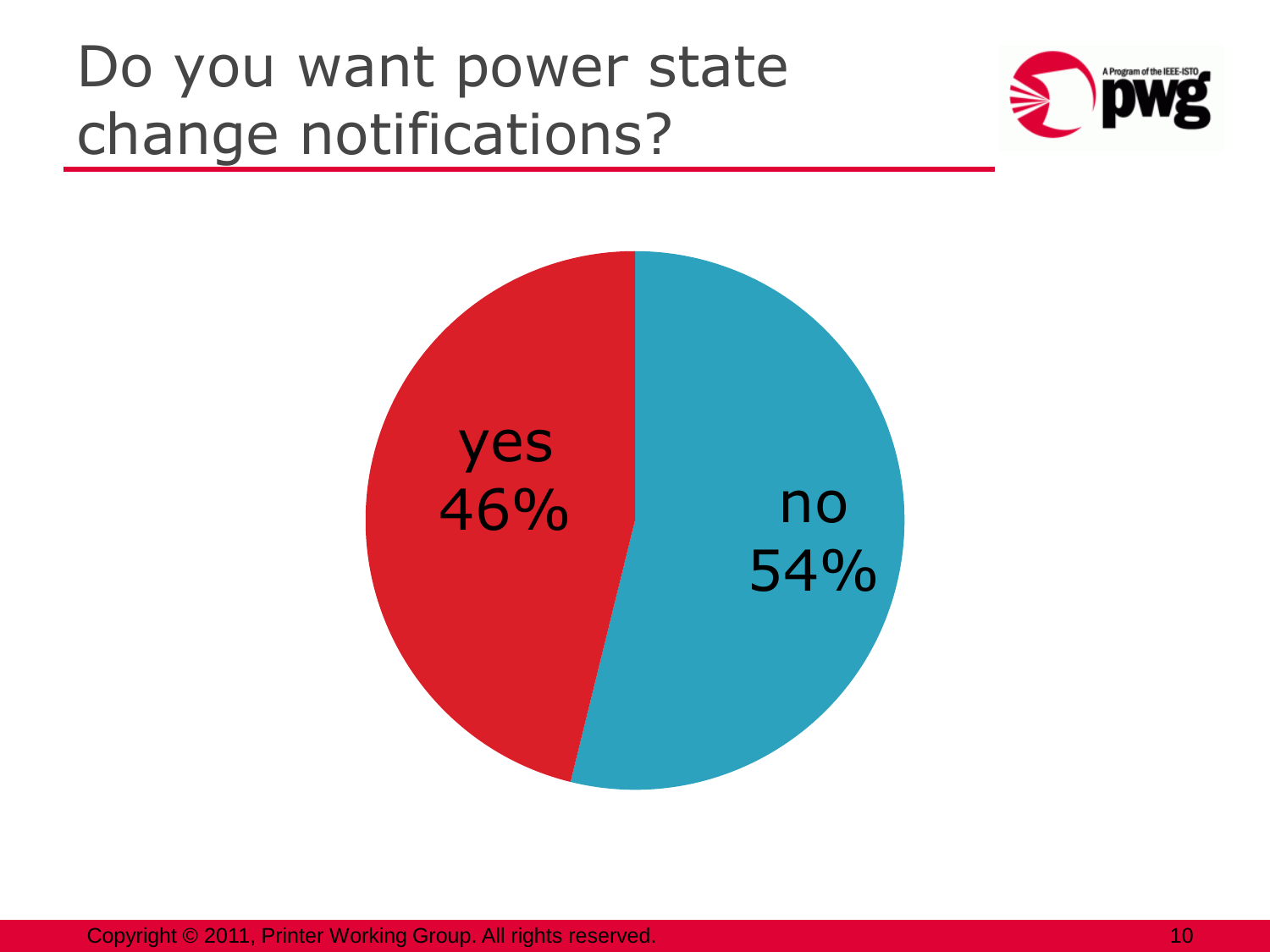### Do you want power state change notifications?



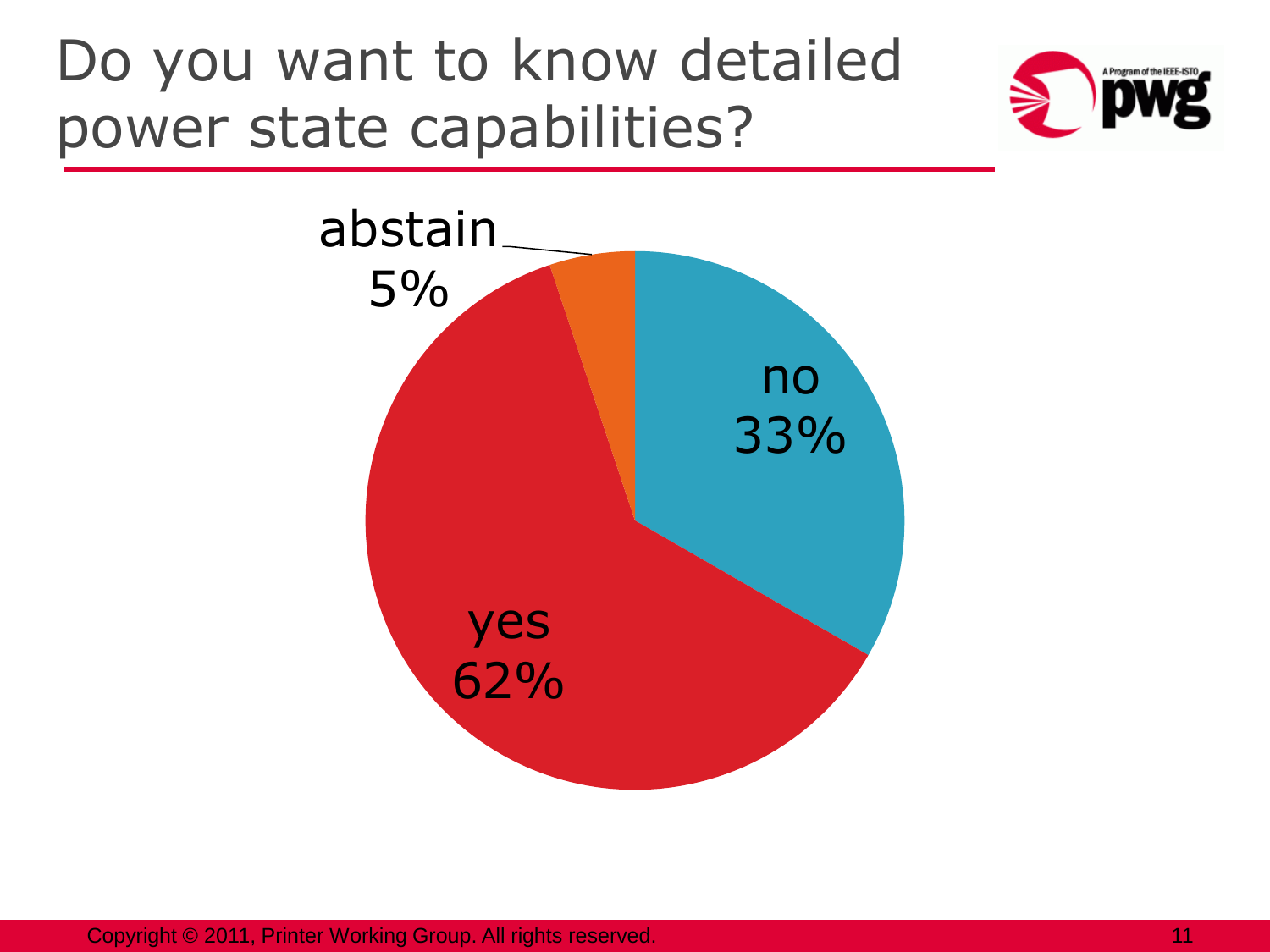#### Do you want to know detailed power state capabilities?





Copyright © 2011, Printer Working Group. All rights reserved. 11 All 120 Section 11 All 120 Section 11 All 120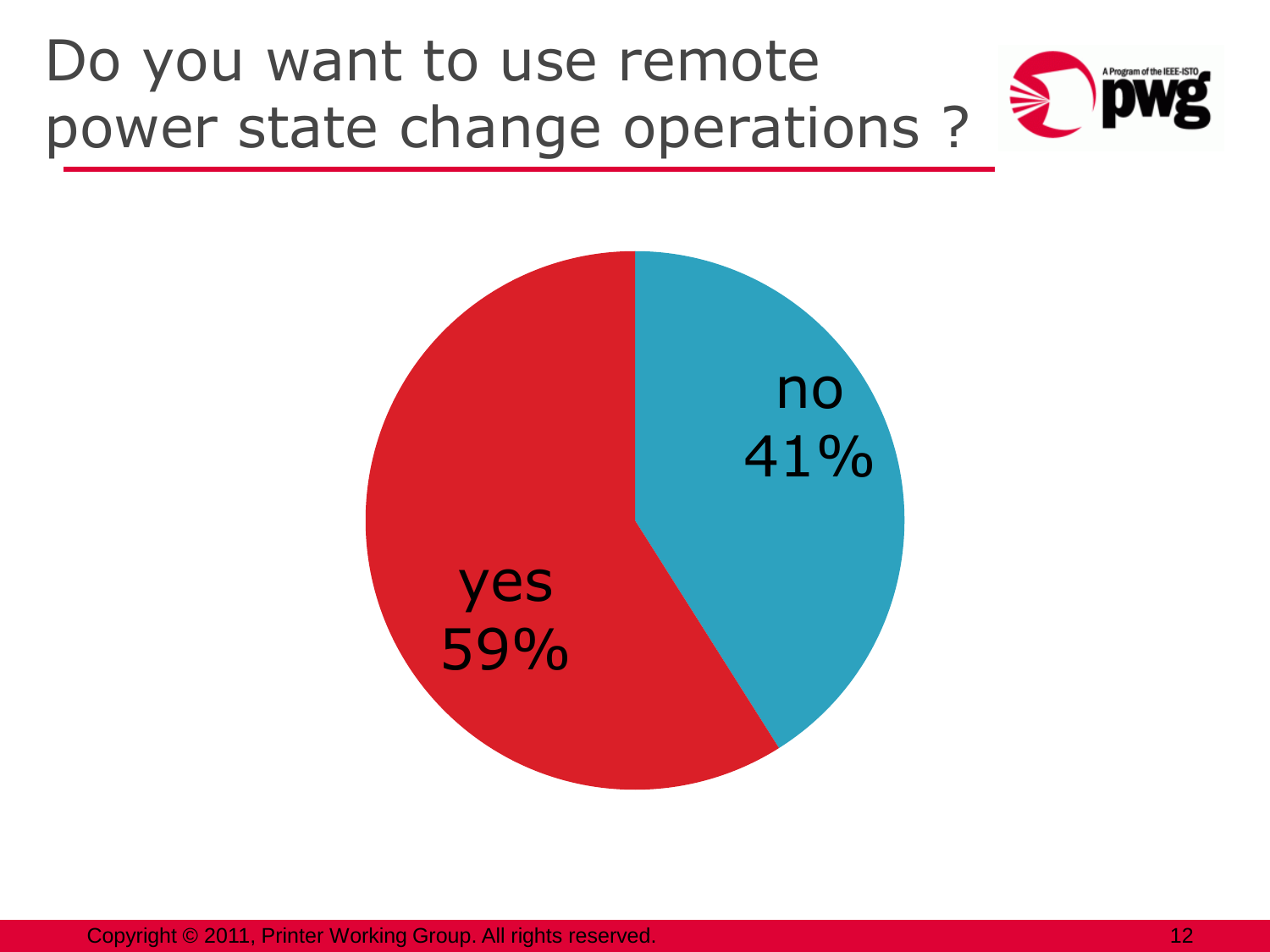### Do you want to use remote power state change operations ?





Copyright © 2011, Printer Working Group. All rights reserved. 12 All 12 All 12 All 12 All 12 All 12 All 12 All 12 All 12 All 12 All 12 All 12 All 12 All 12 All 12 All 12 All 12 All 12 All 12 All 12 All 12 All 12 All 12 All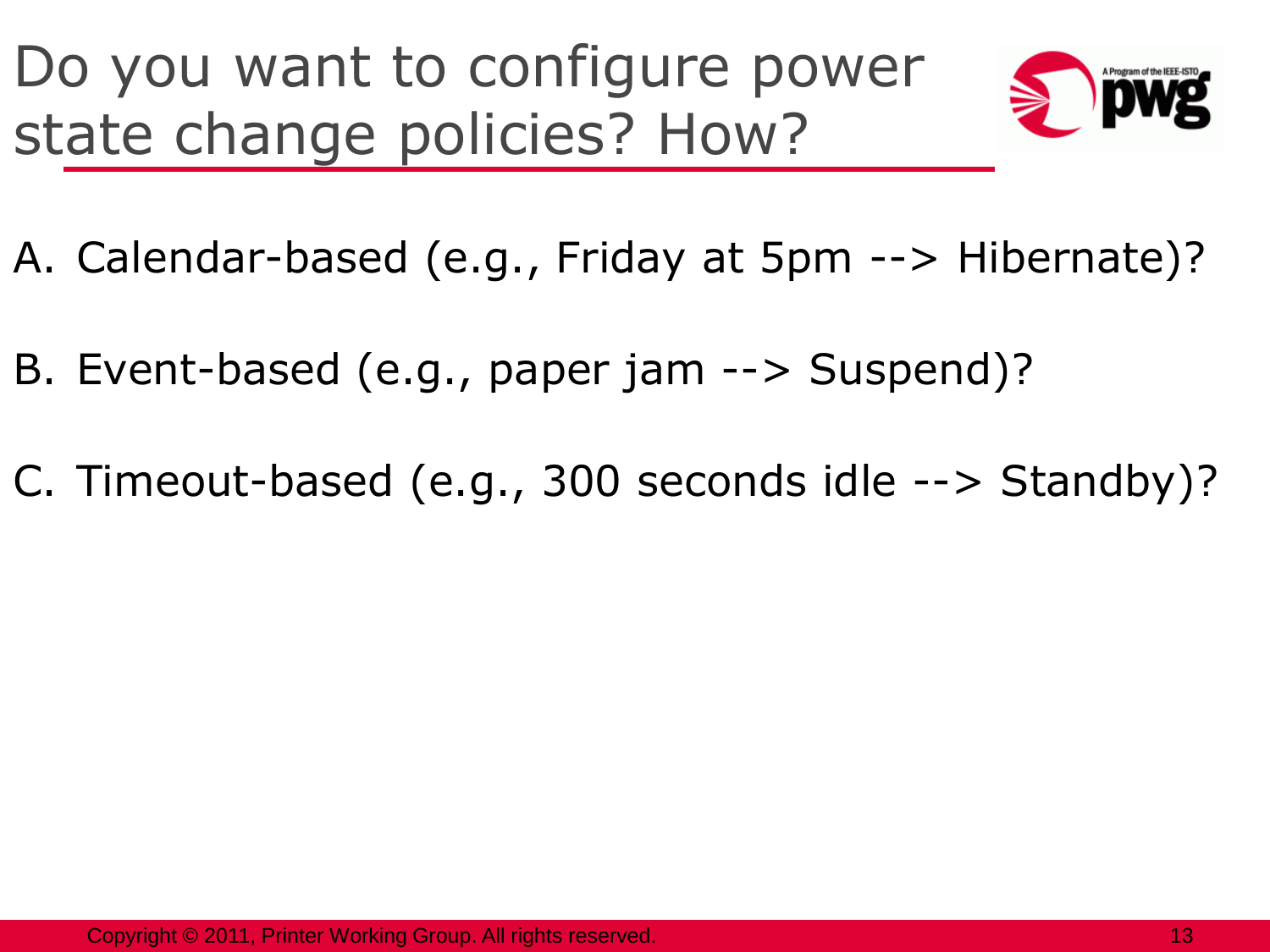Do you want to configure power state change policies? How?



- A. Calendar-based (e.g., Friday at 5pm --> Hibernate)?
- B. Event-based (e.g., paper jam --> Suspend)?
- C. Timeout-based (e.g., 300 seconds idle --> Standby)?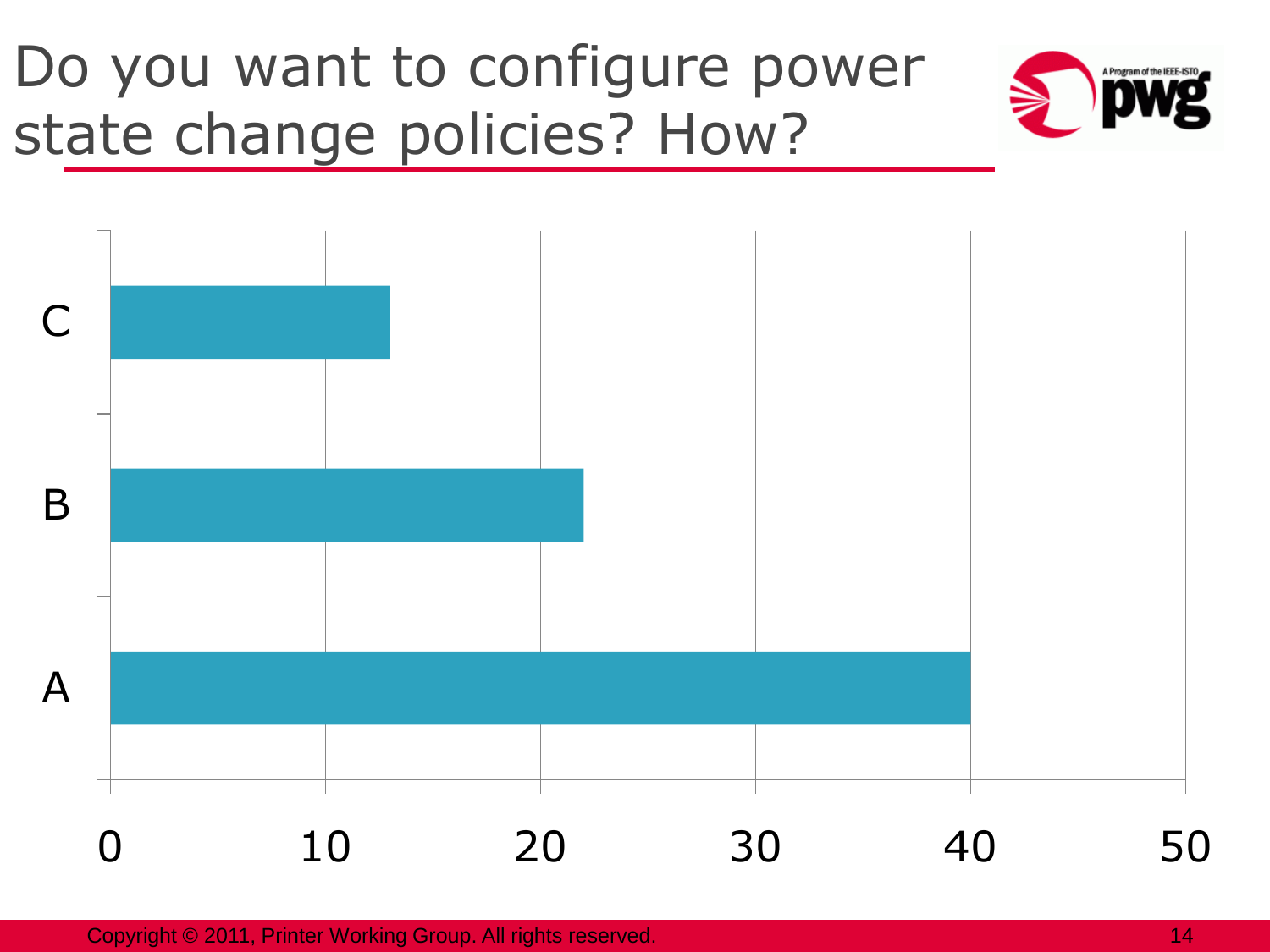### Do you want to configure power state change policies? How?





Copyright © 2011, Printer Working Group. All rights reserved. 14 April 14 April 14 April 14 April 14 April 14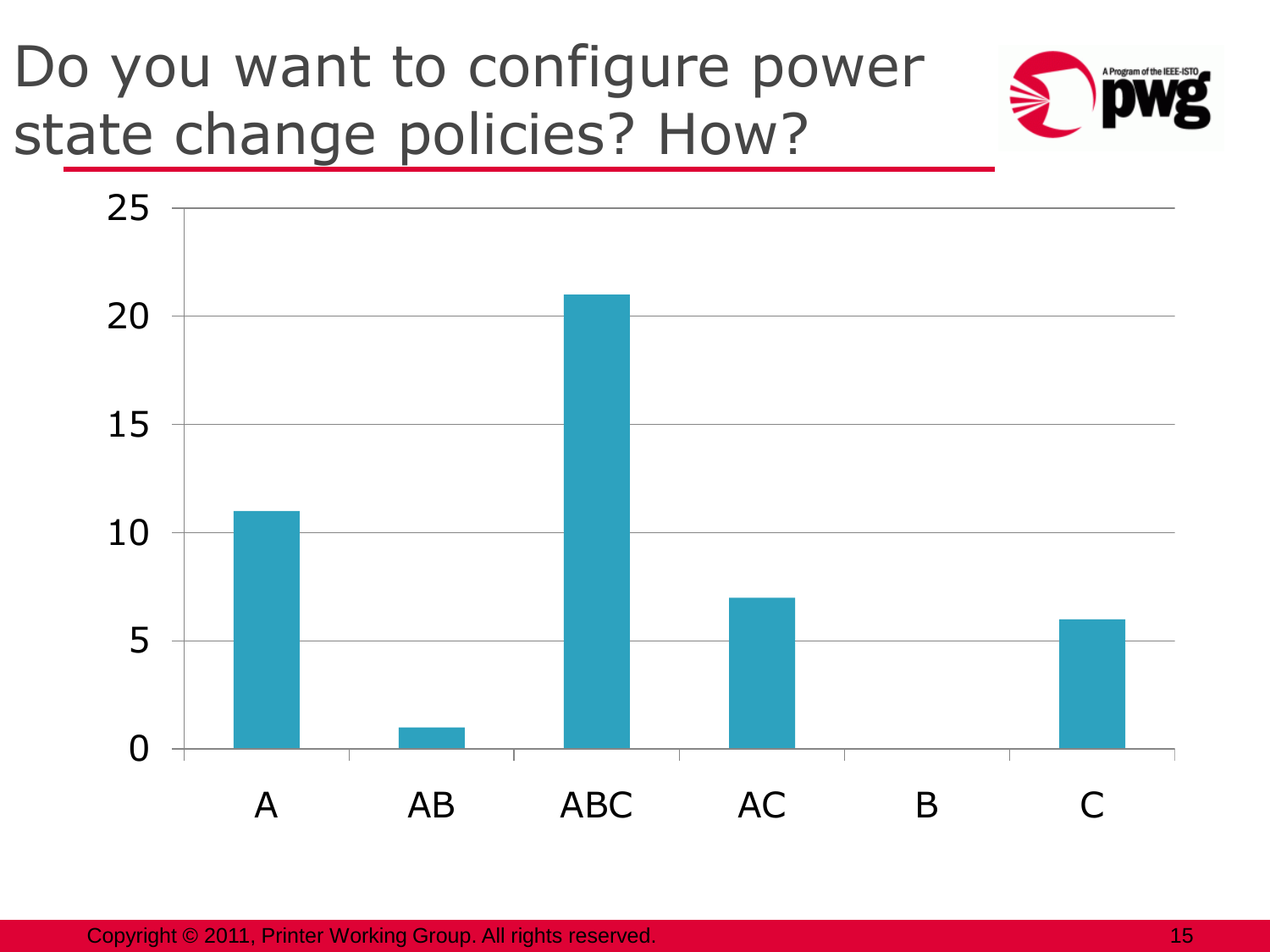### Do you want to configure power state change policies? How?



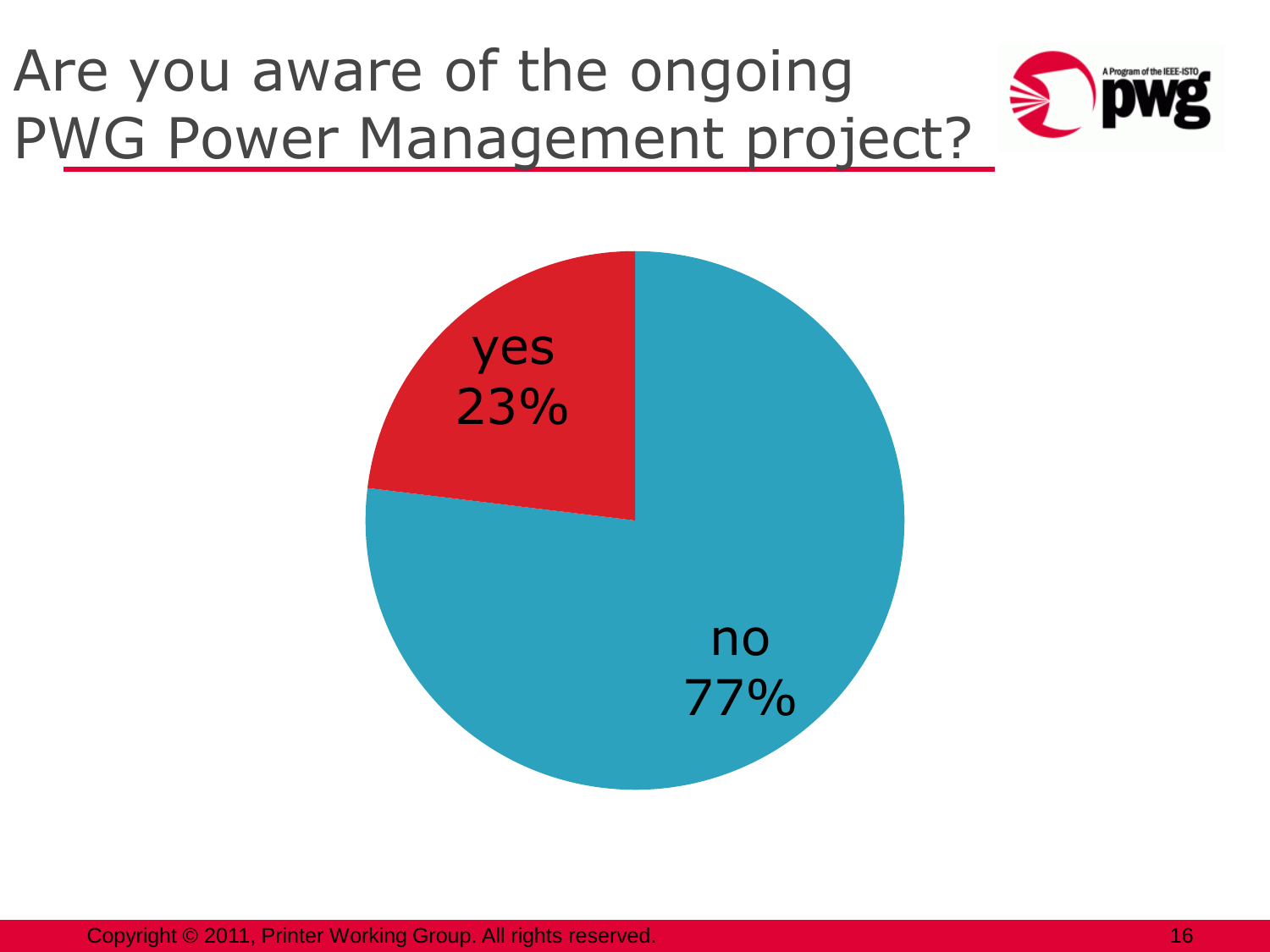# Are you aware of the ongoing PWG Power Management project?





Copyright © 2011, Printer Working Group. All rights reserved. 16 April 16 April 16 April 16 April 16 April 16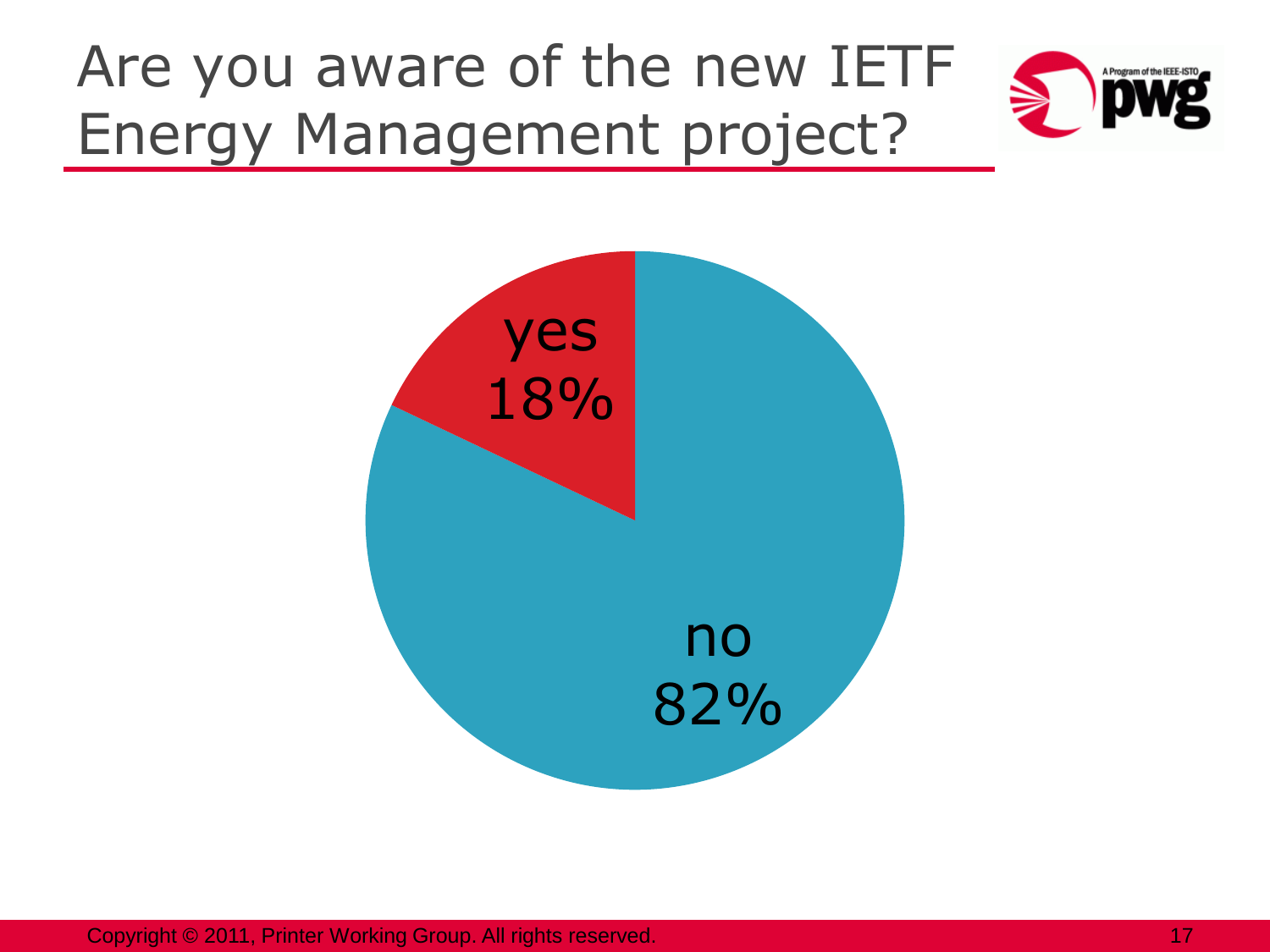# Are you aware of the new IETF Energy Management project?





Copyright © 2011, Printer Working Group. All rights reserved. 17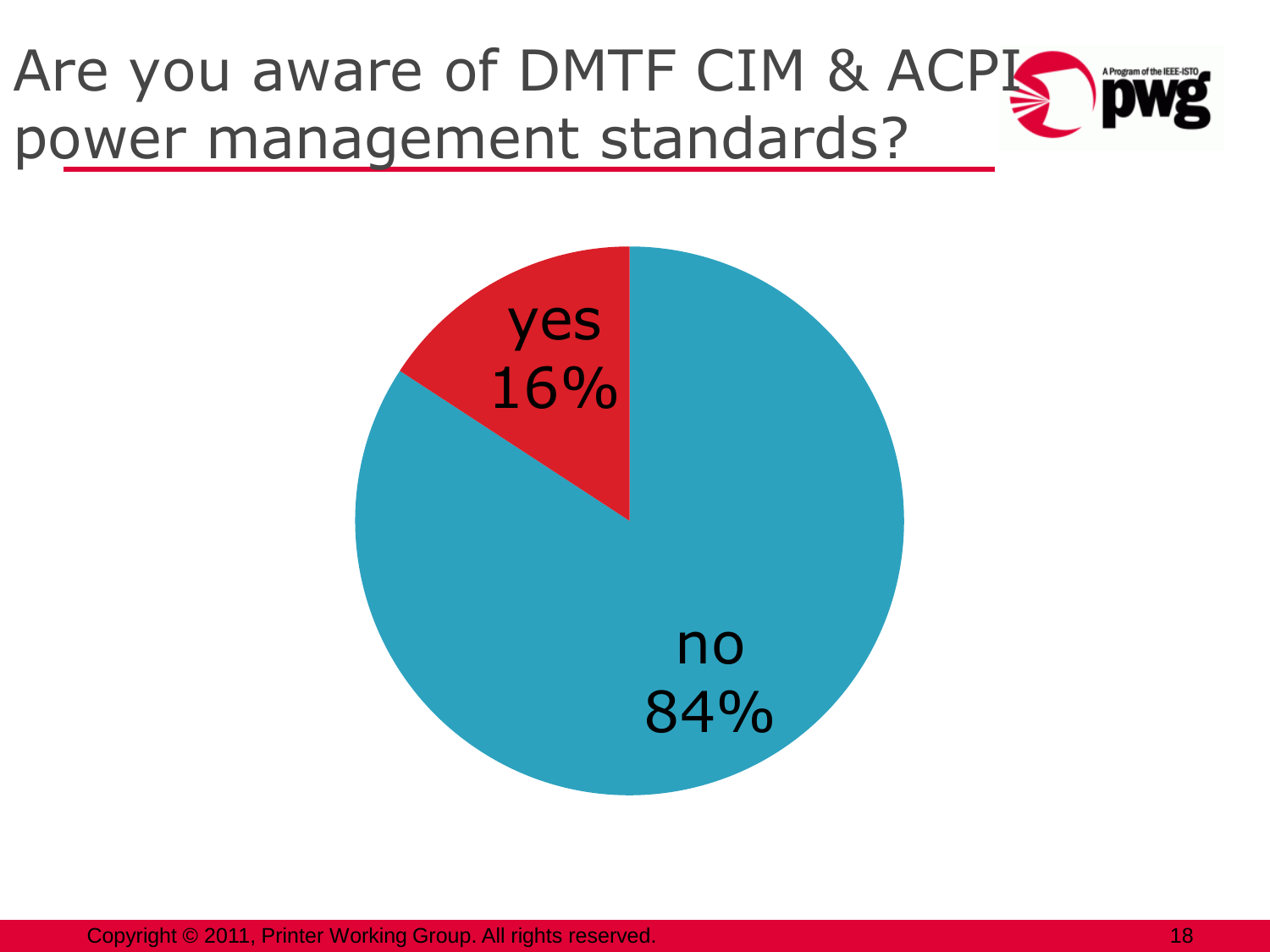



Copyright © 2011, Printer Working Group. All rights reserved. 18 and 18 and 18 and 18 and 18 and 18 and 18 and 18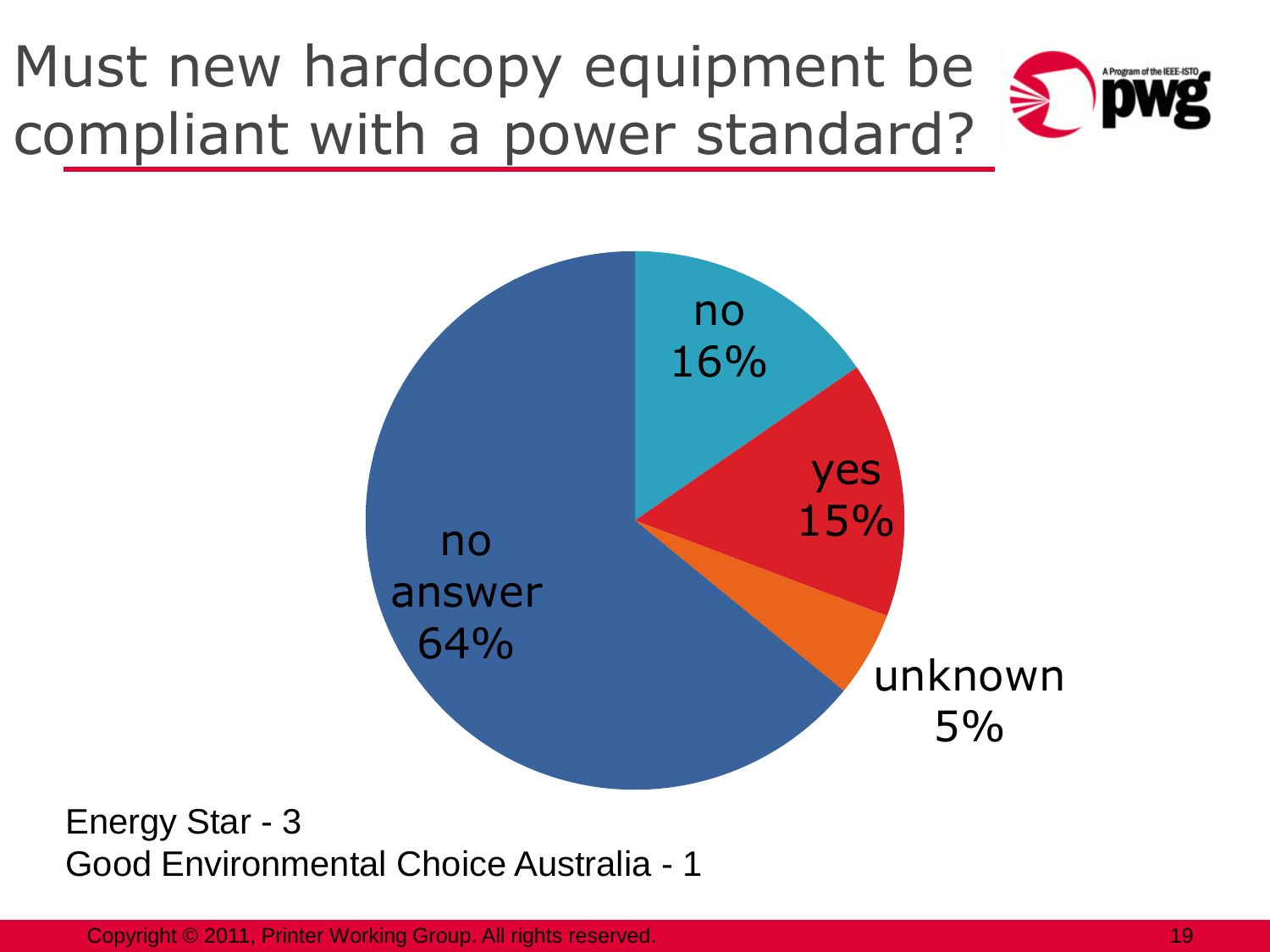# Must new hardcopy equipment be compliant with a power standard?





Energy Star - 3 Good Environmental Choice Australia - 1

Copyright © 2011, Printer Working Group. All rights reserved. 19 and 19 and 19 and 19 and 19 and 19 and 19 and 19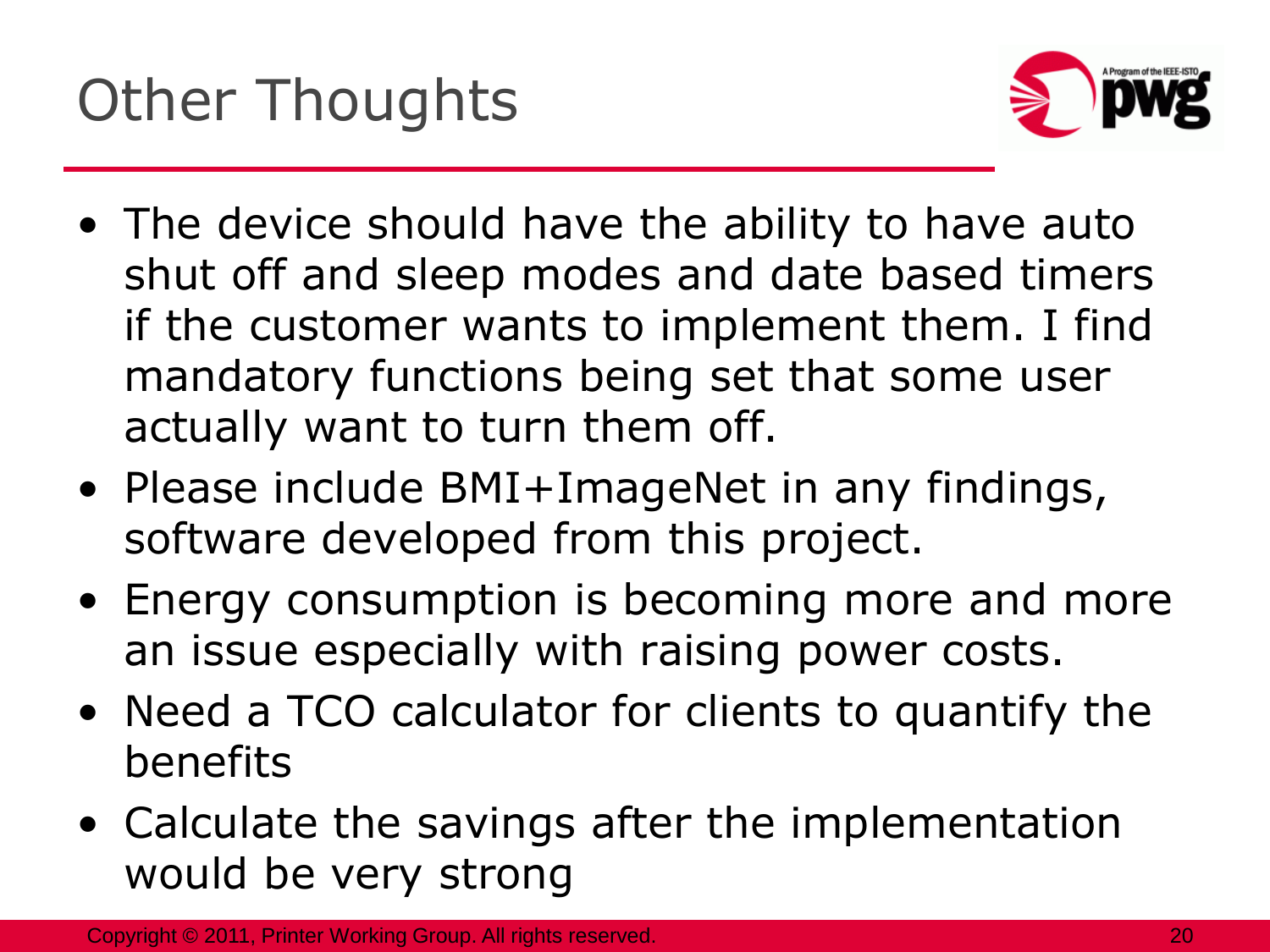

- The device should have the ability to have auto shut off and sleep modes and date based timers if the customer wants to implement them. I find mandatory functions being set that some user actually want to turn them off.
- Please include BMI+ImageNet in any findings, software developed from this project.
- Energy consumption is becoming more and more an issue especially with raising power costs.
- Need a TCO calculator for clients to quantify the benefits
- Calculate the savings after the implementation would be very strong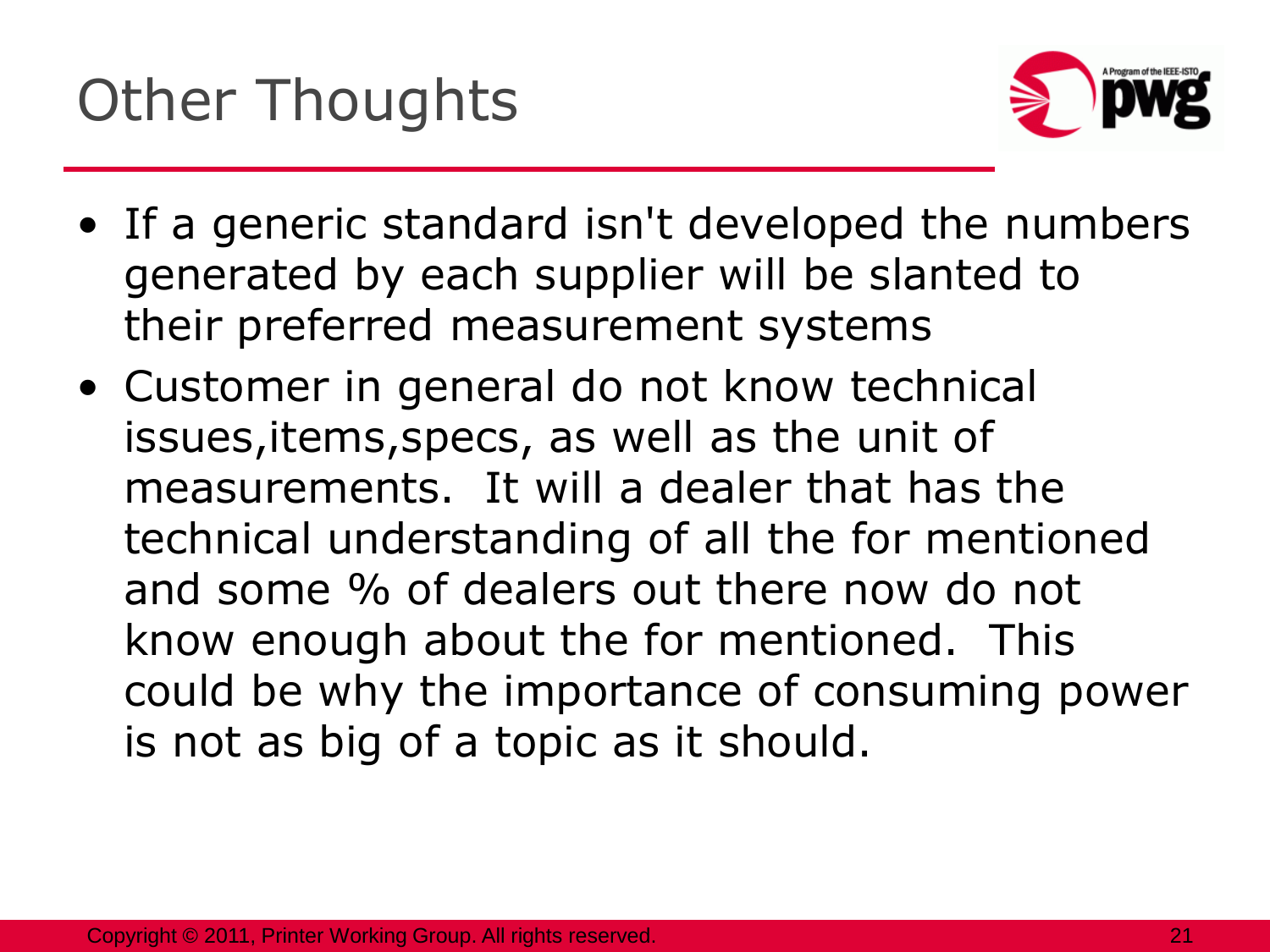

- If a generic standard isn't developed the numbers generated by each supplier will be slanted to their preferred measurement systems
- Customer in general do not know technical issues,items,specs, as well as the unit of measurements. It will a dealer that has the technical understanding of all the for mentioned and some % of dealers out there now do not know enough about the for mentioned. This could be why the importance of consuming power is not as big of a topic as it should.